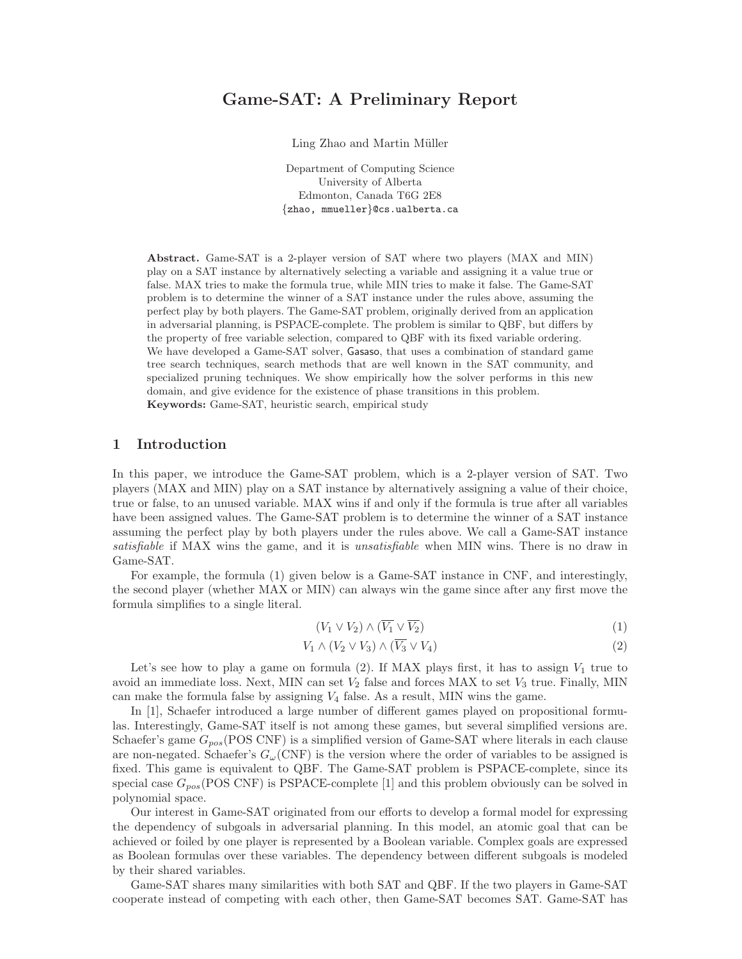# Game-SAT: A Preliminary Report

Ling Zhao and Martin Müller

Department of Computing Science University of Alberta Edmonton, Canada T6G 2E8 {zhao, mmueller}@cs.ualberta.ca

Abstract. Game-SAT is a 2-player version of SAT where two players (MAX and MIN) play on a SAT instance by alternatively selecting a variable and assigning it a value true or false. MAX tries to make the formula true, while MIN tries to make it false. The Game-SAT problem is to determine the winner of a SAT instance under the rules above, assuming the perfect play by both players. The Game-SAT problem, originally derived from an application in adversarial planning, is PSPACE-complete. The problem is similar to QBF, but differs by the property of free variable selection, compared to QBF with its fixed variable ordering. We have developed a Game-SAT solver, Gasaso, that uses a combination of standard game tree search techniques, search methods that are well known in the SAT community, and specialized pruning techniques. We show empirically how the solver performs in this new domain, and give evidence for the existence of phase transitions in this problem. Keywords: Game-SAT, heuristic search, empirical study

### 1 Introduction

In this paper, we introduce the Game-SAT problem, which is a 2-player version of SAT. Two players (MAX and MIN) play on a SAT instance by alternatively assigning a value of their choice, true or false, to an unused variable. MAX wins if and only if the formula is true after all variables have been assigned values. The Game-SAT problem is to determine the winner of a SAT instance assuming the perfect play by both players under the rules above. We call a Game-SAT instance satisfiable if MAX wins the game, and it is *unsatisfiable* when MIN wins. There is no draw in Game-SAT.

For example, the formula (1) given below is a Game-SAT instance in CNF, and interestingly, the second player (whether MAX or MIN) can always win the game since after any first move the formula simplifies to a single literal.

$$
(V_1 \vee V_2) \wedge (\overline{V_1} \vee \overline{V_2}) \tag{1}
$$

$$
V_1 \wedge (V_2 \vee V_3) \wedge (\overline{V_3} \vee V_4) \tag{2}
$$

Let's see how to play a game on formula (2). If MAX plays first, it has to assign  $V_1$  true to avoid an immediate loss. Next, MIN can set  $V_2$  false and forces MAX to set  $V_3$  true. Finally, MIN can make the formula false by assigning  $V_4$  false. As a result, MIN wins the game.

In [1], Schaefer introduced a large number of different games played on propositional formulas. Interestingly, Game-SAT itself is not among these games, but several simplified versions are. Schaefer's game  $G_{pos}(\text{POS CNF})$  is a simplified version of Game-SAT where literals in each clause are non-negated. Schaefer's  $G_{\omega}(\text{CNF})$  is the version where the order of variables to be assigned is fixed. This game is equivalent to QBF. The Game-SAT problem is PSPACE-complete, since its special case  $G_{pos}(\text{POS CNF})$  is PSPACE-complete [1] and this problem obviously can be solved in polynomial space.

Our interest in Game-SAT originated from our efforts to develop a formal model for expressing the dependency of subgoals in adversarial planning. In this model, an atomic goal that can be achieved or foiled by one player is represented by a Boolean variable. Complex goals are expressed as Boolean formulas over these variables. The dependency between different subgoals is modeled by their shared variables.

Game-SAT shares many similarities with both SAT and QBF. If the two players in Game-SAT cooperate instead of competing with each other, then Game-SAT becomes SAT. Game-SAT has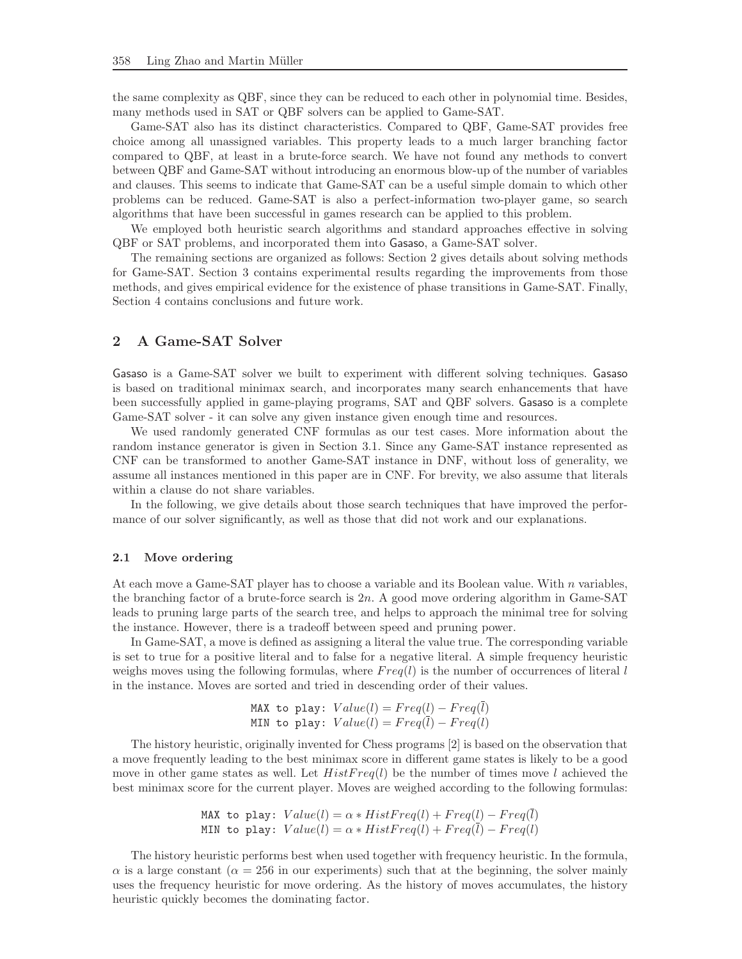the same complexity as QBF, since they can be reduced to each other in polynomial time. Besides, many methods used in SAT or QBF solvers can be applied to Game-SAT.

Game-SAT also has its distinct characteristics. Compared to QBF, Game-SAT provides free choice among all unassigned variables. This property leads to a much larger branching factor compared to QBF, at least in a brute-force search. We have not found any methods to convert between QBF and Game-SAT without introducing an enormous blow-up of the number of variables and clauses. This seems to indicate that Game-SAT can be a useful simple domain to which other problems can be reduced. Game-SAT is also a perfect-information two-player game, so search algorithms that have been successful in games research can be applied to this problem.

We employed both heuristic search algorithms and standard approaches effective in solving QBF or SAT problems, and incorporated them into Gasaso, a Game-SAT solver.

The remaining sections are organized as follows: Section 2 gives details about solving methods for Game-SAT. Section 3 contains experimental results regarding the improvements from those methods, and gives empirical evidence for the existence of phase transitions in Game-SAT. Finally, Section 4 contains conclusions and future work.

# 2 A Game-SAT Solver

Gasaso is a Game-SAT solver we built to experiment with different solving techniques. Gasaso is based on traditional minimax search, and incorporates many search enhancements that have been successfully applied in game-playing programs, SAT and QBF solvers. Gasaso is a complete Game-SAT solver - it can solve any given instance given enough time and resources.

We used randomly generated CNF formulas as our test cases. More information about the random instance generator is given in Section 3.1. Since any Game-SAT instance represented as CNF can be transformed to another Game-SAT instance in DNF, without loss of generality, we assume all instances mentioned in this paper are in CNF. For brevity, we also assume that literals within a clause do not share variables.

In the following, we give details about those search techniques that have improved the performance of our solver significantly, as well as those that did not work and our explanations.

### 2.1 Move ordering

At each move a Game-SAT player has to choose a variable and its Boolean value. With  $n$  variables, the branching factor of a brute-force search is 2n. A good move ordering algorithm in Game-SAT leads to pruning large parts of the search tree, and helps to approach the minimal tree for solving the instance. However, there is a tradeoff between speed and pruning power.

In Game-SAT, a move is defined as assigning a literal the value true. The corresponding variable is set to true for a positive literal and to false for a negative literal. A simple frequency heuristic weighs moves using the following formulas, where  $Freq(l)$  is the number of occurrences of literal l in the instance. Moves are sorted and tried in descending order of their values.

MAX to play: Value(l) = 
$$
Freq(l) - Freq(\bar{l})
$$
  
MIN to play: Value(l) =  $Freq(\bar{l}) - Freq(l)$ 

The history heuristic, originally invented for Chess programs [2] is based on the observation that a move frequently leading to the best minimax score in different game states is likely to be a good move in other game states as well. Let  $HistFreq(l)$  be the number of times move l achieved the best minimax score for the current player. Moves are weighed according to the following formulas:

MAX to play: Value(l) = 
$$
\alpha * HistFreq(l) + Freq(l) - Freq(l)
$$
  
MIN to play: Value(l) =  $\alpha * HistFreq(l) + Freq(\bar{l}) - Freq(l)$ 

The history heuristic performs best when used together with frequency heuristic. In the formula,  $\alpha$  is a large constant ( $\alpha = 256$  in our experiments) such that at the beginning, the solver mainly uses the frequency heuristic for move ordering. As the history of moves accumulates, the history heuristic quickly becomes the dominating factor.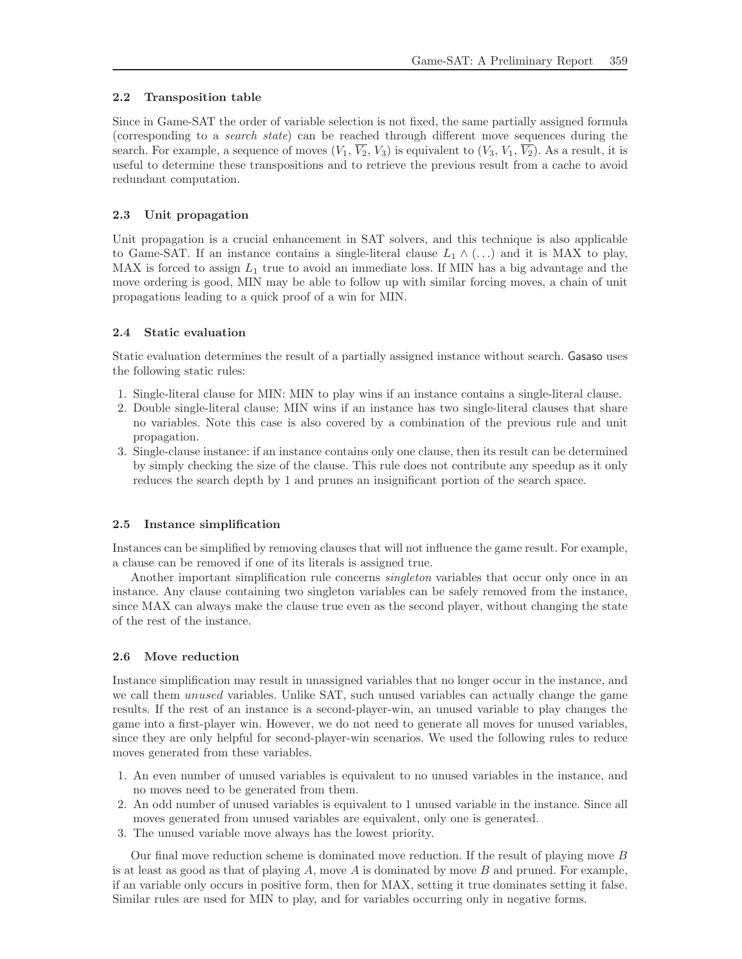# 2.2 Transposition table

Since in Game-SAT the order of variable selection is not fixed, the same partially assigned formula (corresponding to a search state) can be reached through different move sequences during the search. For example, a sequence of moves  $(V_1, \overline{V_2}, V_3)$  is equivalent to  $(V_3, V_1, \overline{V_2})$ . As a result, it is useful to determine these transpositions and to retrieve the previous result from a cache to avoid redundant computation.

# 2.3 Unit propagation

Unit propagation is a crucial enhancement in SAT solvers, and this technique is also applicable to Game-SAT. If an instance contains a single-literal clause  $L_1 \wedge (\dots)$  and it is MAX to play, MAX is forced to assign  $L_1$  true to avoid an immediate loss. If MIN has a big advantage and the move ordering is good, MIN may be able to follow up with similar forcing moves, a chain of unit propagations leading to a quick proof of a win for MIN.

# 2.4 Static evaluation

Static evaluation determines the result of a partially assigned instance without search. Gasaso uses the following static rules:

- 1. Single-literal clause for MIN: MIN to play wins if an instance contains a single-literal clause.
- 2. Double single-literal clause: MIN wins if an instance has two single-literal clauses that share no variables. Note this case is also covered by a combination of the previous rule and unit propagation.
- 3. Single-clause instance: if an instance contains only one clause, then its result can be determined by simply checking the size of the clause. This rule does not contribute any speedup as it only reduces the search depth by 1 and prunes an insignificant portion of the search space.

### 2.5 Instance simplification

Instances can be simplified by removing clauses that will not influence the game result. For example, a clause can be removed if one of its literals is assigned true.

Another important simplification rule concerns *singleton* variables that occur only once in an instance. Any clause containing two singleton variables can be safely removed from the instance, since MAX can always make the clause true even as the second player, without changing the state of the rest of the instance.

# 2.6 Move reduction

Instance simplification may result in unassigned variables that no longer occur in the instance, and we call them *unused* variables. Unlike SAT, such unused variables can actually change the game results. If the rest of an instance is a second-player-win, an unused variable to play changes the game into a first-player win. However, we do not need to generate all moves for unused variables, since they are only helpful for second-player-win scenarios. We used the following rules to reduce moves generated from these variables.

- 1. An even number of unused variables is equivalent to no unused variables in the instance, and no moves need to be generated from them.
- 2. An odd number of unused variables is equivalent to 1 unused variable in the instance. Since all moves generated from unused variables are equivalent, only one is generated.
- 3. The unused variable move always has the lowest priority.

Our final move reduction scheme is dominated move reduction. If the result of playing move B is at least as good as that of playing  $A$ , move  $A$  is dominated by move  $B$  and pruned. For example, if an variable only occurs in positive form, then for MAX, setting it true dominates setting it false. Similar rules are used for MIN to play, and for variables occurring only in negative forms.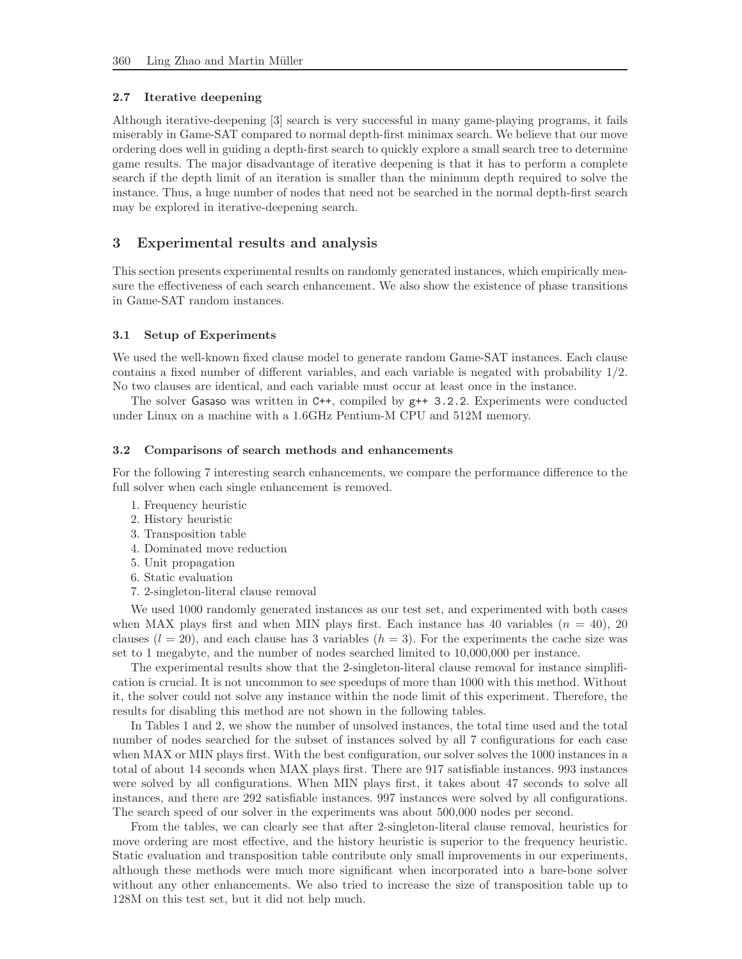#### 2.7 Iterative deepening

Although iterative-deepening [3] search is very successful in many game-playing programs, it fails miserably in Game-SAT compared to normal depth-first minimax search. We believe that our move ordering does well in guiding a depth-first search to quickly explore a small search tree to determine game results. The major disadvantage of iterative deepening is that it has to perform a complete search if the depth limit of an iteration is smaller than the minimum depth required to solve the instance. Thus, a huge number of nodes that need not be searched in the normal depth-first search may be explored in iterative-deepening search.

# 3 Experimental results and analysis

This section presents experimental results on randomly generated instances, which empirically measure the effectiveness of each search enhancement. We also show the existence of phase transitions in Game-SAT random instances.

#### 3.1 Setup of Experiments

We used the well-known fixed clause model to generate random Game-SAT instances. Each clause contains a fixed number of different variables, and each variable is negated with probability 1/2. No two clauses are identical, and each variable must occur at least once in the instance.

The solver Gasaso was written in  $C_{++}$ , compiled by  $g_{++}$  3.2.2. Experiments were conducted under Linux on a machine with a 1.6GHz Pentium-M CPU and 512M memory.

#### 3.2 Comparisons of search methods and enhancements

For the following 7 interesting search enhancements, we compare the performance difference to the full solver when each single enhancement is removed.

- 1. Frequency heuristic
- 2. History heuristic
- 3. Transposition table
- 4. Dominated move reduction
- 5. Unit propagation
- 6. Static evaluation
- 7. 2-singleton-literal clause removal

We used 1000 randomly generated instances as our test set, and experimented with both cases when MAX plays first and when MIN plays first. Each instance has 40 variables  $(n = 40)$ , 20 clauses  $(l = 20)$ , and each clause has 3 variables  $(h = 3)$ . For the experiments the cache size was set to 1 megabyte, and the number of nodes searched limited to 10,000,000 per instance.

The experimental results show that the 2-singleton-literal clause removal for instance simplification is crucial. It is not uncommon to see speedups of more than 1000 with this method. Without it, the solver could not solve any instance within the node limit of this experiment. Therefore, the results for disabling this method are not shown in the following tables.

In Tables 1 and 2, we show the number of unsolved instances, the total time used and the total number of nodes searched for the subset of instances solved by all 7 configurations for each case when MAX or MIN plays first. With the best configuration, our solver solves the 1000 instances in a total of about 14 seconds when MAX plays first. There are 917 satisfiable instances. 993 instances were solved by all configurations. When MIN plays first, it takes about 47 seconds to solve all instances, and there are 292 satisfiable instances. 997 instances were solved by all configurations. The search speed of our solver in the experiments was about 500,000 nodes per second.

From the tables, we can clearly see that after 2-singleton-literal clause removal, heuristics for move ordering are most effective, and the history heuristic is superior to the frequency heuristic. Static evaluation and transposition table contribute only small improvements in our experiments, although these methods were much more significant when incorporated into a bare-bone solver without any other enhancements. We also tried to increase the size of transposition table up to 128M on this test set, but it did not help much.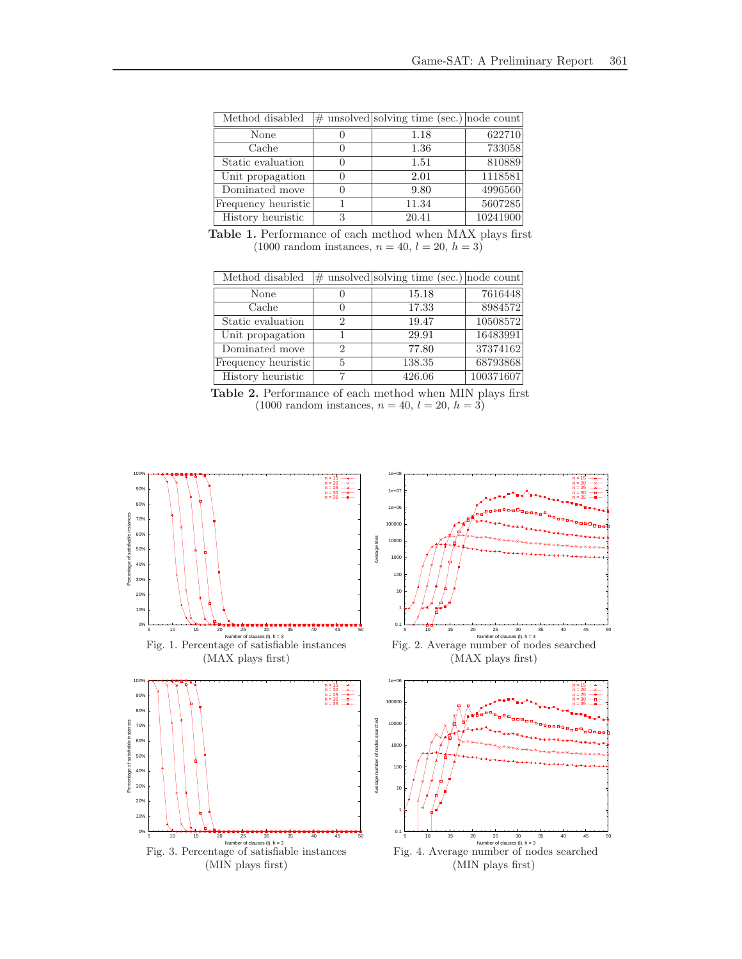| Method disabled     |   | $\#$ unsolved solving time (sec.) node count |          |
|---------------------|---|----------------------------------------------|----------|
| None                |   | 1.18                                         | 622710   |
| Cache               |   | 1.36                                         | 733058   |
| Static evaluation   |   | 1.51                                         | 810889   |
| Unit propagation    |   | 2.01                                         | 1118581  |
| Dominated move      |   | 9.80                                         | 4996560  |
| Frequency heuristic |   | 11.34                                        | 5607285  |
| History heuristic   | 3 | 20.41                                        | 10241900 |

Table 1. Performance of each method when MAX plays first  $(1000 \text{ random instances}, n = 40, l = 20, h = 3)$ 

| Method disabled     |   | $\#$ unsolved solving time (sec.) node count |           |
|---------------------|---|----------------------------------------------|-----------|
| None                |   | 15.18                                        | 7616448   |
| Cache               |   | 17.33                                        | 8984572   |
| Static evaluation   |   | 19.47                                        | 10508572  |
| Unit propagation    |   | 29.91                                        | 16483991  |
| Dominated move      | 2 | 77.80                                        | 37374162  |
| Frequency heuristic |   | 138.35                                       | 68793868  |
| History heuristic   |   | 426.06                                       | 100371607 |

Table 2. Performance of each method when MIN plays first  $(1000 \text{ random instances}, n = 40, l = 20, h = 3)$